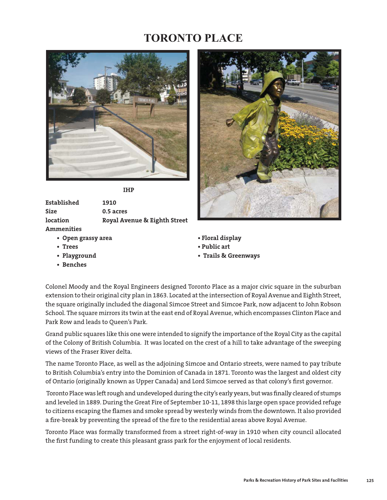## **TORONTO PLACE**



*IHP* 

**Established 1910 Size 0.5 acres location Royal Avenue & Eighth Street Ammenities** 

- **Open grassy area Floral display**
- 
- 
- **Benches**



- 
- **Trees Public art**
- **Playground Trails & Greenways**

Colonel Moody and the Royal Engineers designed Toronto Place as a major civic square in the suburban extension to their original city plan in 1863. Located at the intersection of Royal Avenue and Eighth Street, the square originally included the diagonal Simcoe Street and Simcoe Park, now adjacent to John Robson School. The square mirrors its twin at the east end of Royal Avenue, which encompasses Clinton Place and Park Row and leads to Queen's Park.

Grand public squares like this one were intended to signify the importance of the Royal City as the capital of the Colony of British Columbia. It was located on the crest of a hill to take advantage of the sweeping views of the Fraser River delta.

The name Toronto Place, as well as the adjoining Simcoe and Ontario streets, were named to pay tribute to British Columbia's entry into the Dominion of Canada in 1871. Toronto was the largest and oldest city of Ontario (originally known as Upper Canada) and Lord Simcoe served as that colony's first governor.

Toronto Place was left rough and undeveloped during the city's early years, but was finally cleared of stumps and leveled in 1889. During the Great Fire of September 10-11, 1898 this large open space provided refuge to citizens escaping the flames and smoke spread by westerly winds from the downtown. It also provided a fire-break by preventing the spread of the fire to the residential areas above Royal Avenue.

Toronto Place was formally transformed from a street right-of-way in 1910 when city council allocated the first funding to create this pleasant grass park for the enjoyment of local residents.